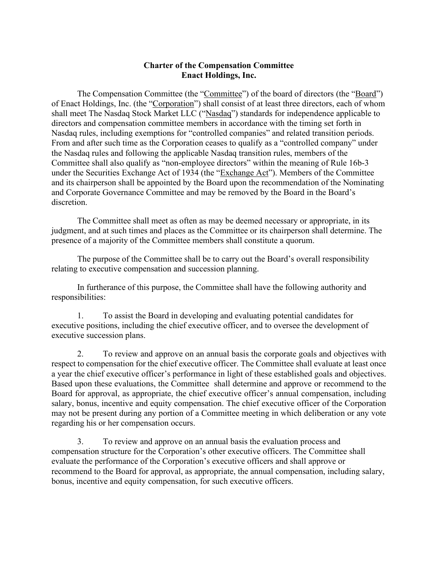## **Charter of the Compensation Committee Enact Holdings, Inc.**

The Compensation Committee (the "Committee") of the board of directors (the "Board") of Enact Holdings, Inc. (the "Corporation") shall consist of at least three directors, each of whom shall meet The Nasdaq Stock Market LLC ("Nasdaq") standards for independence applicable to directors and compensation committee members in accordance with the timing set forth in Nasdaq rules, including exemptions for "controlled companies" and related transition periods. From and after such time as the Corporation ceases to qualify as a "controlled company" under the Nasdaq rules and following the applicable Nasdaq transition rules, members of the Committee shall also qualify as "non-employee directors" within the meaning of Rule 16b-3 under the Securities Exchange Act of 1934 (the "Exchange Act"). Members of the Committee and its chairperson shall be appointed by the Board upon the recommendation of the Nominating and Corporate Governance Committee and may be removed by the Board in the Board's discretion.

The Committee shall meet as often as may be deemed necessary or appropriate, in its judgment, and at such times and places as the Committee or its chairperson shall determine. The presence of a majority of the Committee members shall constitute a quorum.

The purpose of the Committee shall be to carry out the Board's overall responsibility relating to executive compensation and succession planning.

In furtherance of this purpose, the Committee shall have the following authority and responsibilities:

1. To assist the Board in developing and evaluating potential candidates for executive positions, including the chief executive officer, and to oversee the development of executive succession plans.

2. To review and approve on an annual basis the corporate goals and objectives with respect to compensation for the chief executive officer. The Committee shall evaluate at least once a year the chief executive officer's performance in light of these established goals and objectives. Based upon these evaluations, the Committee shall determine and approve or recommend to the Board for approval, as appropriate, the chief executive officer's annual compensation, including salary, bonus, incentive and equity compensation. The chief executive officer of the Corporation may not be present during any portion of a Committee meeting in which deliberation or any vote regarding his or her compensation occurs.

3. To review and approve on an annual basis the evaluation process and compensation structure for the Corporation's other executive officers. The Committee shall evaluate the performance of the Corporation's executive officers and shall approve or recommend to the Board for approval, as appropriate, the annual compensation, including salary, bonus, incentive and equity compensation, for such executive officers.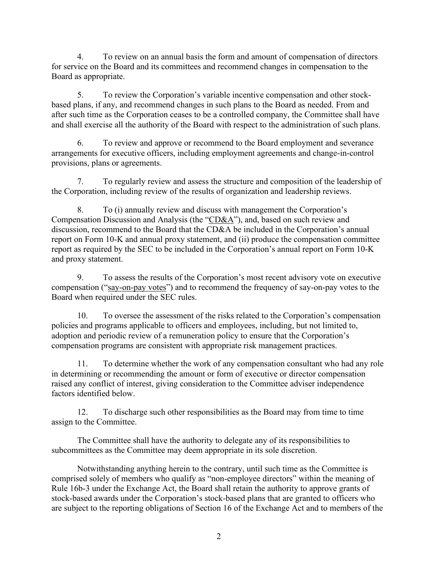4. To review on an annual basis the form and amount of compensation of directors for service on the Board and its committees and recommend changes in compensation to the Board as appropriate.

5. To review the Corporation's variable incentive compensation and other stockbased plans, if any, and recommend changes in such plans to the Board as needed. From and after such time as the Corporation ceases to be a controlled company, the Committee shall have and shall exercise all the authority of the Board with respect to the administration of such plans.

6. To review and approve or recommend to the Board employment and severance arrangements for executive officers, including employment agreements and change-in-control provisions, plans or agreements.

7. To regularly review and assess the structure and composition of the leadership of the Corporation, including review of the results of organization and leadership reviews.

8. To (i) annually review and discuss with management the Corporation's Compensation Discussion and Analysis (the "CD&A"), and, based on such review and discussion, recommend to the Board that the CD&A be included in the Corporation's annual report on Form 10-K and annual proxy statement, and (ii) produce the compensation committee report as required by the SEC to be included in the Corporation's annual report on Form 10-K and proxy statement.

9. To assess the results of the Corporation's most recent advisory vote on executive compensation ("say-on-pay votes") and to recommend the frequency of say-on-pay votes to the Board when required under the SEC rules.

10. To oversee the assessment of the risks related to the Corporation's compensation policies and programs applicable to officers and employees, including, but not limited to, adoption and periodic review of a remuneration policy to ensure that the Corporation's compensation programs are consistent with appropriate risk management practices.

11. To determine whether the work of any compensation consultant who had any role in determining or recommending the amount or form of executive or director compensation raised any conflict of interest, giving consideration to the Committee adviser independence factors identified below.

12. To discharge such other responsibilities as the Board may from time to time assign to the Committee.

The Committee shall have the authority to delegate any of its responsibilities to subcommittees as the Committee may deem appropriate in its sole discretion.

Notwithstanding anything herein to the contrary, until such time as the Committee is comprised solely of members who qualify as "non-employee directors" within the meaning of Rule 16b-3 under the Exchange Act, the Board shall retain the authority to approve grants of stock-based awards under the Corporation's stock-based plans that are granted to officers who are subject to the reporting obligations of Section 16 of the Exchange Act and to members of the